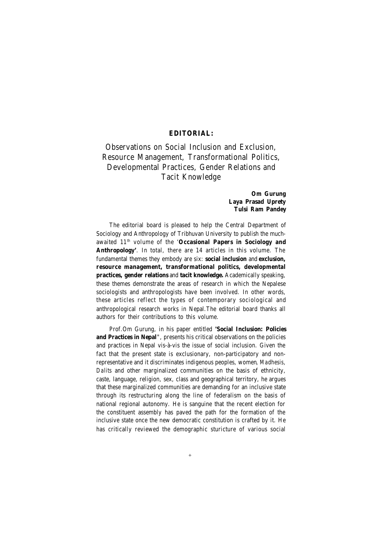## **EDITORIAL:**

Observations on Social Inclusion and Exclusion, Resource Management, Transformational Politics, Developmental Practices, Gender Relations and Tacit Knowledge

> **Om Gurung Laya Prasad Uprety Tulsi Ram Pandey**

The editorial board is pleased to help the Central Department of Sociology and Anthropology of Tribhuvan University to publish the muchawaited 11th volume of the '**Occasional Papers in Sociology and Anthropology'**. In total, there are 14 articles in this volume. The fundamental themes they embody are six: **social inclusion** and **exclusion, resource management, transformational politics, developmental practices, gender relations** and **tacit knowledge.** Academically speaking, these themes demonstrate the areas of research in which the Nepalese sociologists and anthropologists have been involved. In other words, these articles reflect the types of contemporary sociological and anthropological research works in Nepal.The editorial board thanks all authors for their contributions to this volume.

Prof.Om Gurung, in his paper entitled "**Social Inclusion: Policies and Practices in Nepal**", presents his critical observations on the policies and practices in Nepal vis-à-vis the issue of social inclusion. Given the fact that the present state is exclusionary, non-participatory and nonrepresentative and it discriminates indigenous peoples, women*, Madhesis, Dalits* and other marginalized communities on the basis of ethnicity, caste, language, religion, sex, class and geographical territory, he argues that these marginalized communities are demanding for an inclusive state through its restructuring along the line of federalism on the basis of national regional autonomy. He is sanguine that the recent election for the constituent assembly has paved the path for the formation of the inclusive state once the new democratic constitution is crafted by it. He has critically reviewed the demographic sturicture of various social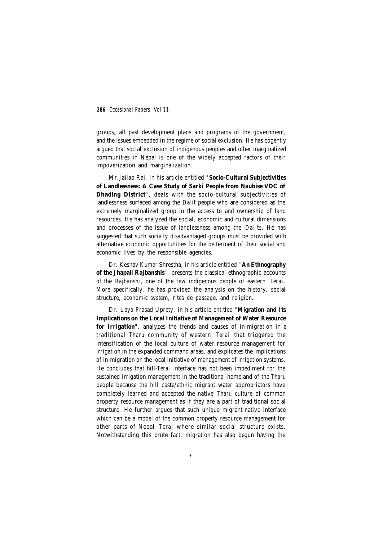**286** Occasional Papers, Vol 11

groups, all past development plans and programs of the government, and the issues embedded in the regime of social exclusion. He has cogently argued that social exclusion of indigenous peoples and other marginalized communities in Nepal is one of the widely accepted factors of their impoverization and marginalization.

Mr.Jailab Rai, in his article entitled "**Socio-Cultural Subjectivities of Landlessness: A Case Study of Sarki People from Naubise VDC of Dhading District**", deals with the socio-cultural subjectivities of landlessness surfaced among the *Dalit* people who are considered as the extremely marginalized group in the access to and ownership of land resources. He has analyzed the social, economic and cultural dimensions and processes of the issue of landlessness among the *Dalits.* He has suggested that such socially disadvantaged groups must be provided with alternative economic opportunities for the betterment of their social and economic lives by the responsible agencies.

Dr. Keshav Kumar Shrestha, in his article entitled "**An Ethnography of the Jhapali Rajbanshis**", presents the classical ethnographic accounts of the *Rajbanshi*, one of the few indigenous people of eastern *Terai*. More specifically, he has provided the analysis on the history, social structure, economic system, *rites de passage,* and religion.

Dr. Laya Prasad Uprety, in his article entitled "**Migration and Its Implications on the Local Initiative of Management of Water Resource for Irrigation**", analyzes the trends and causes of in-migration in a traditional *Tharu* community of western *Terai* that triggered the intensification of the local culture of water resource management for irrigation in the expanded command areas, and explicates the implications of in-migration on the local initiative of management of irrigation systems. He concludes that hill-*Terai* interface has not been impediment for the sustained irrigation management in the traditional homeland of the *Tharu* people because the hill caste/ethnic migrant water appropriators have completely learned and accepted the native *Tharu* culture of common property resource management as if they are a part of traditional social structure. He further argues that such unique migrant-native interface which can be a model of the common property resource management for other parts of Nepal *Terai* where similar social structure exists. Notwithstanding this brute fact, migration has also begun having the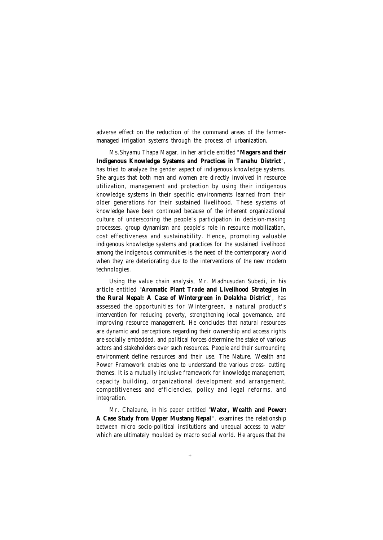adverse effect on the reduction of the command areas of the farmermanaged irrigation systems through the process of urbanization.

Ms.Shyamu Thapa Magar, in her article entitled "**Magars and their Indigenous Knowledge Systems and Practices in Tanahu District**", has tried to analyze the gender aspect of indigenous knowledge systems. She argues that both men and women are directly involved in resource utilization, management and protection by using their indigenous knowledge systems in their specific environments learned from their older generations for their sustained livelihood. These systems of knowledge have been continued because of the inherent organizational culture of underscoring the people's participation in decision-making processes, group dynamism and people's role in resource mobilization, cost effectiveness and sustainability. Hence, promoting valuable indigenous knowledge systems and practices for the sustained livelihood among the indigenous communities is the need of the contemporary world when they are deteriorating due to the interventions of the new modern technologies.

Using the value chain analysis, Mr. Madhusudan Subedi, in his article entitled "**Aromatic Plant Trade and Livelihood Strategies in the Rural Nepal: A Case of Wintergreen in Dolakha District**", has assessed the opportunities for Wintergreen, a natural product's intervention for reducing poverty, strengthening local governance, and improving resource management. He concludes that natural resources are dynamic and perceptions regarding their ownership and access rights are socially embedded, and political forces determine the stake of various actors and stakeholders over such resources. People and their surrounding environment define resources and their use. The Nature, Wealth and Power Framework enables one to understand the various cross- cutting themes. It is a mutually inclusive framework for knowledge management, capacity building, organizational development and arrangement, competitiveness and efficiencies, policy and legal reforms, and integration.

Mr. Chalaune, in his paper entitled "**Water, Wealth and Power: A Case Study from Upper Mustang Nepal**", examines the relationship between micro socio-political institutions and unequal access to water which are ultimately moulded by macro social world. He argues that the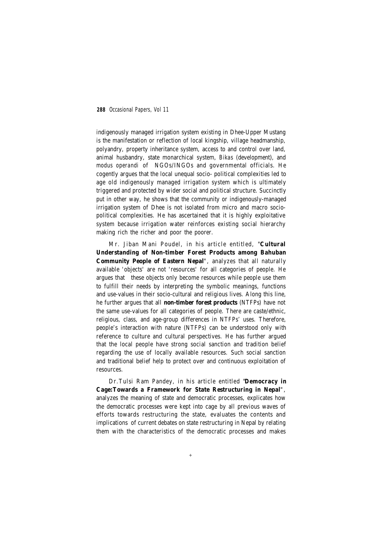## **288** Occasional Papers, Vol 11

indigenously managed irrigation system existing in Dhee-Upper Mustang is the manifestation or reflection of local kingship, village headmanship, polyandry, property inheritance system, access to and control over land, animal husbandry, state monarchical system, *Bikas* (development), and *modus operandi* of NGOs/INGOs and governmental officials. He cogently argues that the local unequal socio- political complexities led to age old indigenously managed irrigation system which is ultimately triggered and protected by wider social and political structure. Succinctly put in other way, he shows that the community or indigenously-managed irrigation system of Dhee is not isolated from micro and macro sociopolitical complexities. He has ascertained that it is highly exploitative system because irrigation water reinforces existing social hierarchy making rich the richer and poor the poorer.

Mr. Jiban Mani Poudel, in his article entitled, "**Cultural Understanding of Non-timber Forest Products among Bahuban Community People of Eastern Nepal**", analyzes that all naturally available 'objects' are not 'resources' for all categories of people. He argues that these objects only become resources while people use them to fulfill their needs by interpreting the symbolic meanings, functions and use-values in their socio-cultural and religious lives. Along this line, he further argues that all **non-timber forest products** (NTFPs) have not the same use-values for all categories of people. There are caste/ethnic, religious, class, and age-group differences in NTFPs' uses. Therefore, people's interaction with nature (NTFPs) can be understood only with reference to culture and cultural perspectives. He has further argued that the local people have strong social sanction and tradition belief regarding the use of locally available resources. Such social sanction and traditional belief help to protect over and continuous exploitation of resources.

Dr.Tulsi Ram Pandey, in his article entitled "**Democracy in Cage:Towards a Framework for State Restructuring in Nepal**", analyzes the meaning of state and democratic processes, explicates how the democratic processes were kept into cage by all previous waves of efforts towards restructuring the state, evaluates the contents and implications of current debates on state restructuring in Nepal by relating them with the characteristics of the democratic processes and makes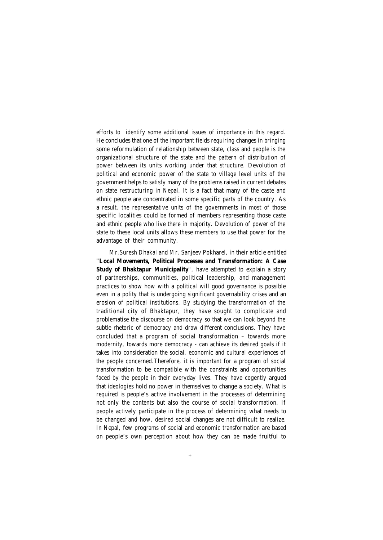efforts to identify some additional issues of importance in this regard. He concludes that one of the important fields requiring changes in bringing some reformulation of relationship between state, class and people is the organizational structure of the state and the pattern of distribution of power between its units working under that structure. Devolution of political and economic power of the state to village level units of the government helps to satisfy many of the problems raised in current debates on state restructuring in Nepal. It is a fact that many of the caste and ethnic people are concentrated in some specific parts of the country. As a result, the representative units of the governments in most of those specific localities could be formed of members representing those caste and ethnic people who live there in majority. Devolution of power of the state to these local units allows these members to use that power for the advantage of their community.

Mr.Suresh Dhakal and Mr. Sanjeev Pokharel, in their article entitled **"Local Movements, Political Processes and Transformation: A Case Study of Bhaktapur Municipality**", have attempted to explain a story of partnerships, communities, political leadership, and management practices to show how with a political will good governance is possible even in a polity that is undergoing significant governability crises and an erosion of political institutions. By studying the transformation of the traditional city of Bhaktapur, they have sought to complicate and problematise the discourse on democracy so that we can look beyond the subtle rhetoric of democracy and draw different conclusions. They have concluded that a program of social transformation – towards more modernity, towards more democracy - can achieve its desired goals if it takes into consideration the social, economic and cultural experiences of the people concerned.Therefore, it is important for a program of social transformation to be compatible with the constraints and opportunities faced by the people in their everyday lives. They have cogently argued that ideologies hold no power in themselves to change a society. What is required is people's active involvement in the processes of determining not only the contents but also the course of social transformation. If people actively participate in the process of determining what needs to be changed and how, desired social changes are not difficult to realize. In Nepal, few programs of social and economic transformation are based on people's own perception about how they can be made fruitful to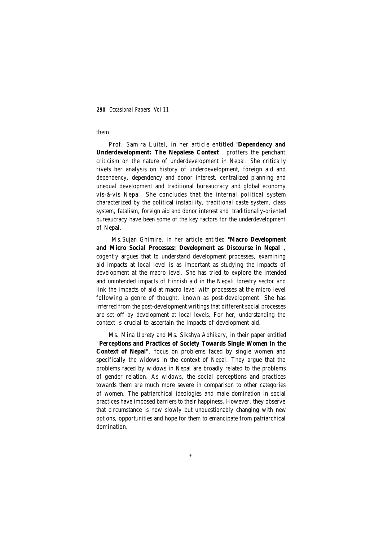**290** Occasional Papers, Vol 11

## them.

Prof. Samira Luitel, in her article entitled "**Dependency and Underdevelopment: The Nepalese Context**", proffers the penchant criticism on the nature of underdevelopment in Nepal. She critically rivets her analysis on history of underdevelopment, foreign aid and dependency, dependency and donor interest, centralized planning and unequal development and traditional bureaucracy and global economy vis-à-vis Nepal. She concludes that the internal political system characterized by the political instability, traditional caste system, class system, fatalism, foreign aid and donor interest and traditionally-oriented bureaucracy have been some of the key factors for the underdevelopment of Nepal.

 Ms.Sujan Ghimire, in her article entitled "**Macro Development and Micro Social Processes: Development as Discourse in Nepal**", cogently argues that to understand development processes, examining aid impacts at local level is as important as studying the impacts of development at the macro level. She has tried to explore the intended and unintended impacts of Finnish aid in the Nepali forestry sector and link the impacts of aid at macro level with processes at the micro level following a genre of thought, known as post-development. She has inferred from the post-development writings that different social processes are set off by development at local levels. For her, understanding the context is crucial to ascertain the impacts of development aid.

Ms. Mina Uprety and Ms. Sikshya Adhikary, in their paper entitled "**Perceptions and Practices of Society Towards Single Women in the Context of Nepal**", focus on problems faced by single women and specifically the widows in the context of Nepal. They argue that the problems faced by widows in Nepal are broadly related to the problems of gender relation. As widows, the social perceptions and practices towards them are much more severe in comparison to other categories of women. The patriarchical ideologies and male domination in social practices have imposed barriers to their happiness. However, they observe that circumstance is now slowly but unquestionably changing with new options, opportunities and hope for them to emancipate from patriarchical domination.